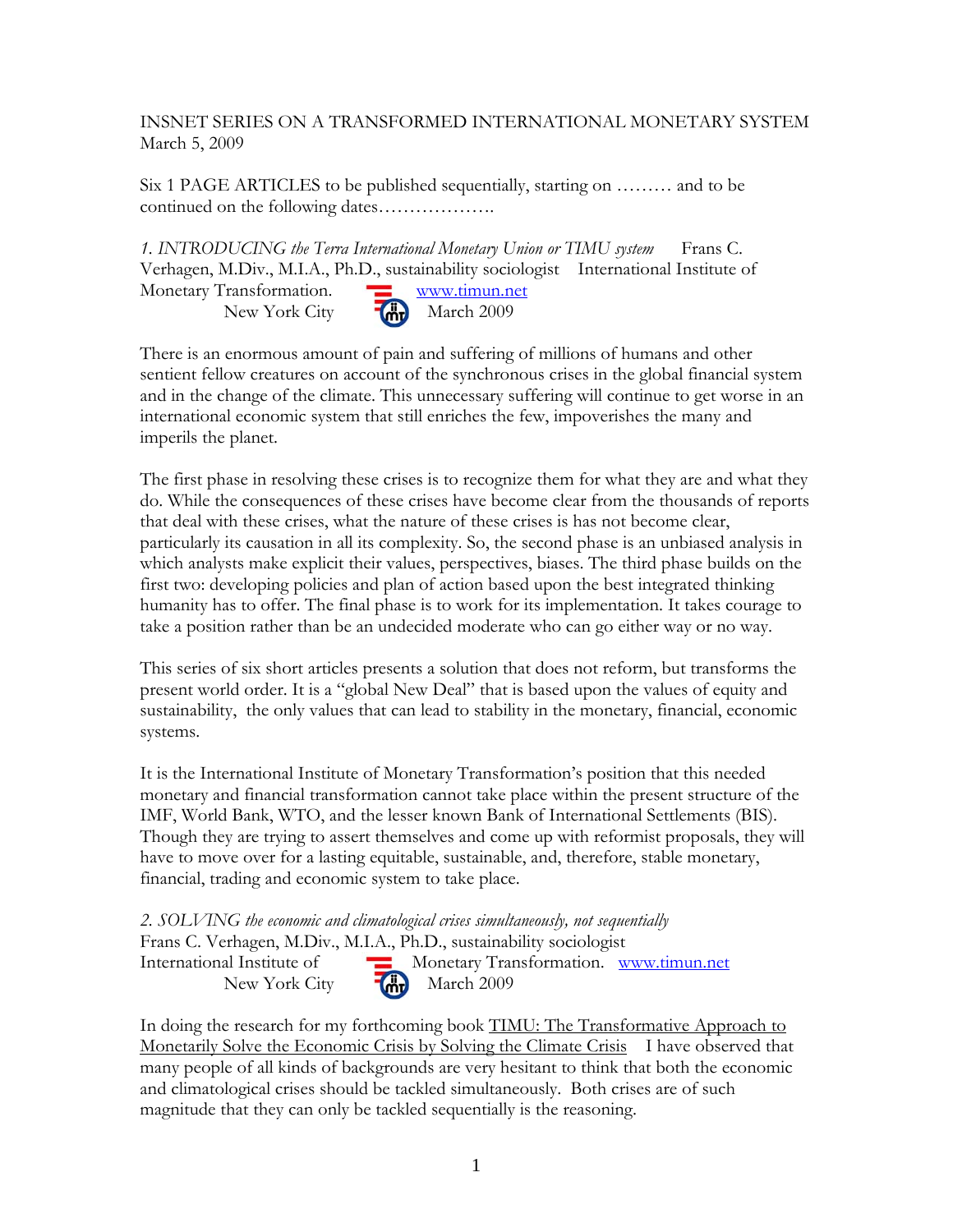INSNET SERIES ON A TRANSFORMED INTERNATIONAL MONETARY SYSTEM March 5, 2009

Six 1 PAGE ARTICLES to be published sequentially, starting on ……… and to be continued on the following dates……………….

*1. INTRODUCING the Terra International Monetary Union or TIMU system* Frans C. Verhagen, M.Div., M.I.A., Ph.D., sustainability sociologist International Institute of Monetary Transformation. Www.timun.net New York City  $\begin{bmatrix} \mathbf{d} \mathbf{w} \end{bmatrix}$  March 2009

There is an enormous amount of pain and suffering of millions of humans and other sentient fellow creatures on account of the synchronous crises in the global financial system and in the change of the climate. This unnecessary suffering will continue to get worse in an international economic system that still enriches the few, impoverishes the many and imperils the planet.

The first phase in resolving these crises is to recognize them for what they are and what they do. While the consequences of these crises have become clear from the thousands of reports that deal with these crises, what the nature of these crises is has not become clear, particularly its causation in all its complexity. So, the second phase is an unbiased analysis in which analysts make explicit their values, perspectives, biases. The third phase builds on the first two: developing policies and plan of action based upon the best integrated thinking humanity has to offer. The final phase is to work for its implementation. It takes courage to take a position rather than be an undecided moderate who can go either way or no way.

This series of six short articles presents a solution that does not reform, but transforms the present world order. It is a "global New Deal" that is based upon the values of equity and sustainability, the only values that can lead to stability in the monetary, financial, economic systems.

It is the International Institute of Monetary Transformation's position that this needed monetary and financial transformation cannot take place within the present structure of the IMF, World Bank, WTO, and the lesser known Bank of International Settlements (BIS). Though they are trying to assert themselves and come up with reformist proposals, they will have to move over for a lasting equitable, sustainable, and, therefore, stable monetary, financial, trading and economic system to take place.

*2. SOLVING the economic and climatological crises simultaneously, not sequentially*  Frans C. Verhagen, M.Div., M.I.A., Ph.D., sustainability sociologist International Institute of Monetary Transformation. www.timun.net New York City  $\begin{bmatrix} \overrightarrow{m} \\ \overrightarrow{m} \end{bmatrix}$  March 2009

In doing the research for my forthcoming book TIMU: The Transformative Approach to Monetarily Solve the Economic Crisis by Solving the Climate Crisis I have observed that many people of all kinds of backgrounds are very hesitant to think that both the economic and climatological crises should be tackled simultaneously. Both crises are of such magnitude that they can only be tackled sequentially is the reasoning.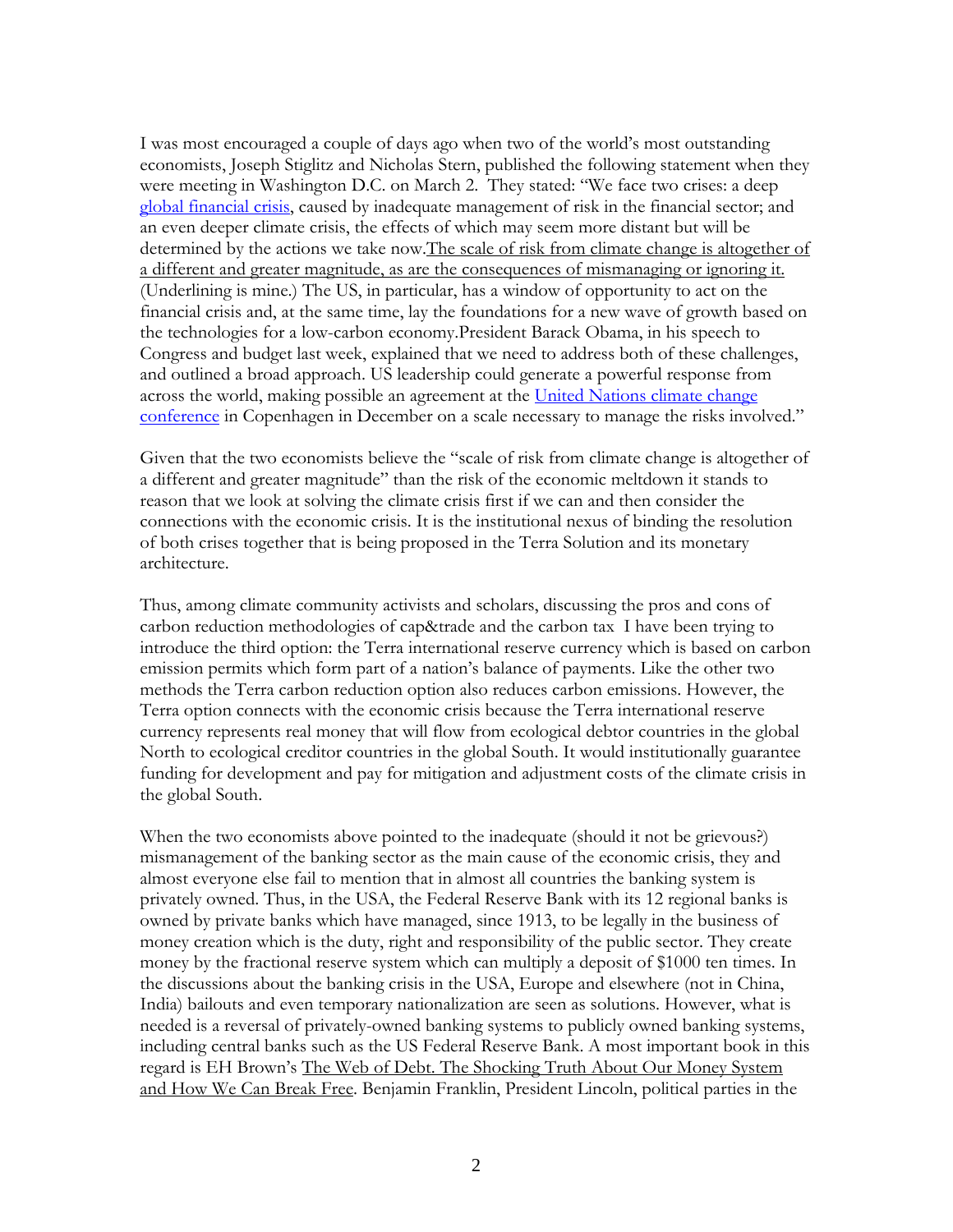I was most encouraged a couple of days ago when two of the world's most outstanding economists, Joseph Stiglitz and Nicholas Stern, published the following statement when they were meeting in Washington D.C. on March 2. They stated: "We face two crises: a deep global financial crisis, caused by inadequate management of risk in the financial sector; and an even deeper climate crisis, the effects of which may seem more distant but will be determined by the actions we take now. The scale of risk from climate change is altogether of a different and greater magnitude, as are the consequences of mismanaging or ignoring it. (Underlining is mine.) The US, in particular, has a window of opportunity to act on the financial crisis and, at the same time, lay the foundations for a new wave of growth based on the technologies for a low-carbon economy.President Barack Obama, in his speech to Congress and budget last week, explained that we need to address both of these challenges, and outlined a broad approach. US leadership could generate a powerful response from across the world, making possible an agreement at the United Nations climate change conference in Copenhagen in December on a scale necessary to manage the risks involved."

Given that the two economists believe the "scale of risk from climate change is altogether of a different and greater magnitude" than the risk of the economic meltdown it stands to reason that we look at solving the climate crisis first if we can and then consider the connections with the economic crisis. It is the institutional nexus of binding the resolution of both crises together that is being proposed in the Terra Solution and its monetary architecture.

Thus, among climate community activists and scholars, discussing the pros and cons of carbon reduction methodologies of cap&trade and the carbon tax I have been trying to introduce the third option: the Terra international reserve currency which is based on carbon emission permits which form part of a nation's balance of payments. Like the other two methods the Terra carbon reduction option also reduces carbon emissions. However, the Terra option connects with the economic crisis because the Terra international reserve currency represents real money that will flow from ecological debtor countries in the global North to ecological creditor countries in the global South. It would institutionally guarantee funding for development and pay for mitigation and adjustment costs of the climate crisis in the global South.

When the two economists above pointed to the inadequate (should it not be grievous?) mismanagement of the banking sector as the main cause of the economic crisis, they and almost everyone else fail to mention that in almost all countries the banking system is privately owned. Thus, in the USA, the Federal Reserve Bank with its 12 regional banks is owned by private banks which have managed, since 1913, to be legally in the business of money creation which is the duty, right and responsibility of the public sector. They create money by the fractional reserve system which can multiply a deposit of \$1000 ten times. In the discussions about the banking crisis in the USA, Europe and elsewhere (not in China, India) bailouts and even temporary nationalization are seen as solutions. However, what is needed is a reversal of privately-owned banking systems to publicly owned banking systems, including central banks such as the US Federal Reserve Bank. A most important book in this regard is EH Brown's The Web of Debt. The Shocking Truth About Our Money System and How We Can Break Free. Benjamin Franklin, President Lincoln, political parties in the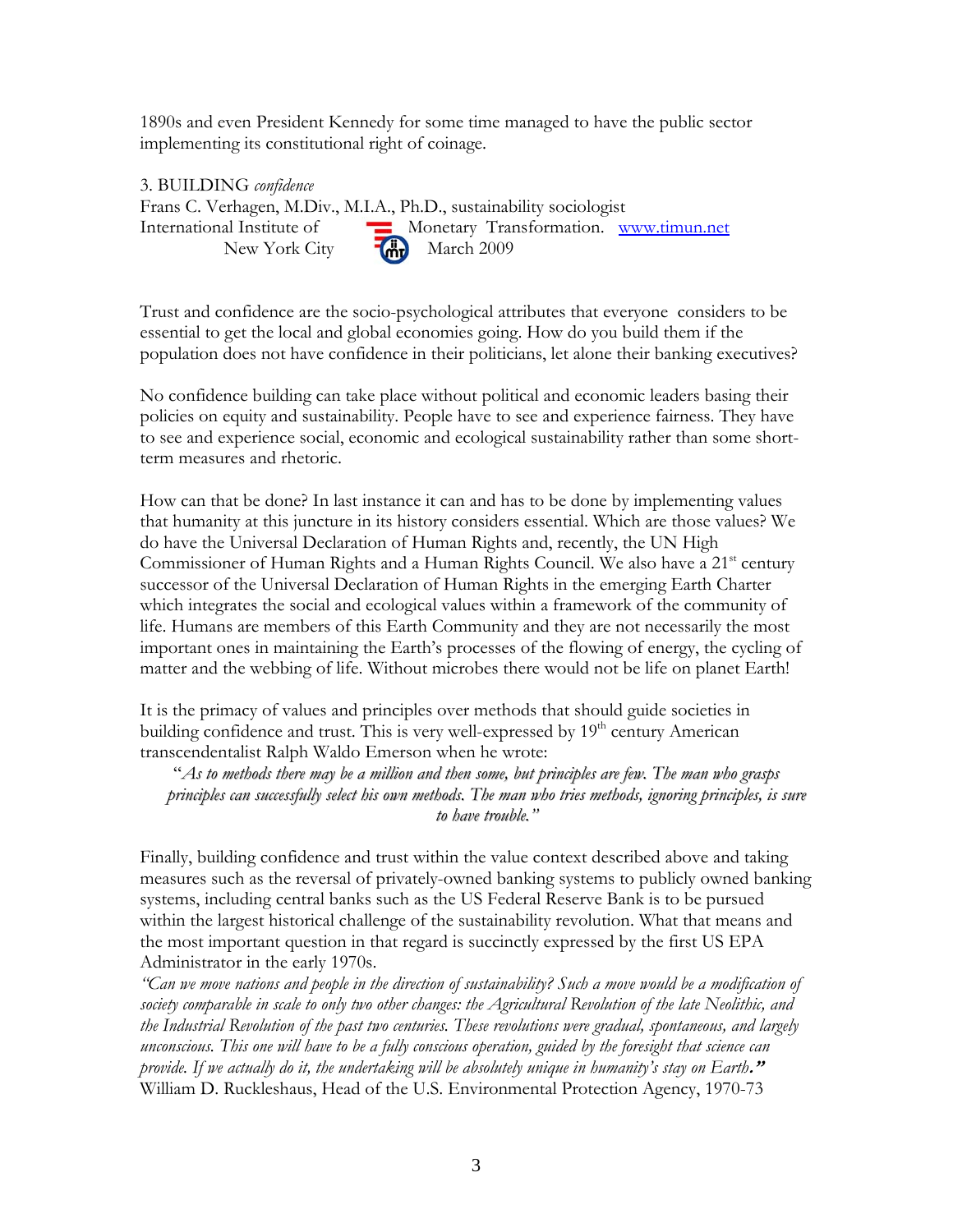1890s and even President Kennedy for some time managed to have the public sector implementing its constitutional right of coinage.

3. BUILDING *confidence*  Frans C. Verhagen, M.Div., M.I.A., Ph.D., sustainability sociologist International Institute of Monetary Transformation. www.timun.net New York City  $\overrightarrow{M}$  March 2009

Trust and confidence are the socio-psychological attributes that everyone considers to be essential to get the local and global economies going. How do you build them if the population does not have confidence in their politicians, let alone their banking executives?

No confidence building can take place without political and economic leaders basing their policies on equity and sustainability. People have to see and experience fairness. They have to see and experience social, economic and ecological sustainability rather than some shortterm measures and rhetoric.

How can that be done? In last instance it can and has to be done by implementing values that humanity at this juncture in its history considers essential. Which are those values? We do have the Universal Declaration of Human Rights and, recently, the UN High Commissioner of Human Rights and a Human Rights Council. We also have a 21<sup>st</sup> century successor of the Universal Declaration of Human Rights in the emerging Earth Charter which integrates the social and ecological values within a framework of the community of life. Humans are members of this Earth Community and they are not necessarily the most important ones in maintaining the Earth's processes of the flowing of energy, the cycling of matter and the webbing of life. Without microbes there would not be life on planet Earth!

It is the primacy of values and principles over methods that should guide societies in building confidence and trust. This is very well-expressed by  $19<sup>th</sup>$  century American transcendentalist Ralph Waldo Emerson when he wrote:

"As to methods there may be a million and then some, but principles are few. The man who grasps *principles can successfully select his own methods. The man who tries methods, ignoring principles, is sure to have trouble."*

Finally, building confidence and trust within the value context described above and taking measures such as the reversal of privately-owned banking systems to publicly owned banking systems, including central banks such as the US Federal Reserve Bank is to be pursued within the largest historical challenge of the sustainability revolution. What that means and the most important question in that regard is succinctly expressed by the first US EPA Administrator in the early 1970s.

*"Can we move nations and people in the direction of sustainability? Such a move would be a modification of society comparable in scale to only two other changes: the Agricultural Revolution of the late Neolithic, and the Industrial Revolution of the past two centuries. These revolutions were gradual, spontaneous, and largely unconscious. This one will have to be a fully conscious operation, guided by the foresight that science can provide. If we actually do it, the undertaking will be absolutely unique in humanity's stay on Earth***."**  William D. Ruckleshaus, Head of the U.S. Environmental Protection Agency, 1970-73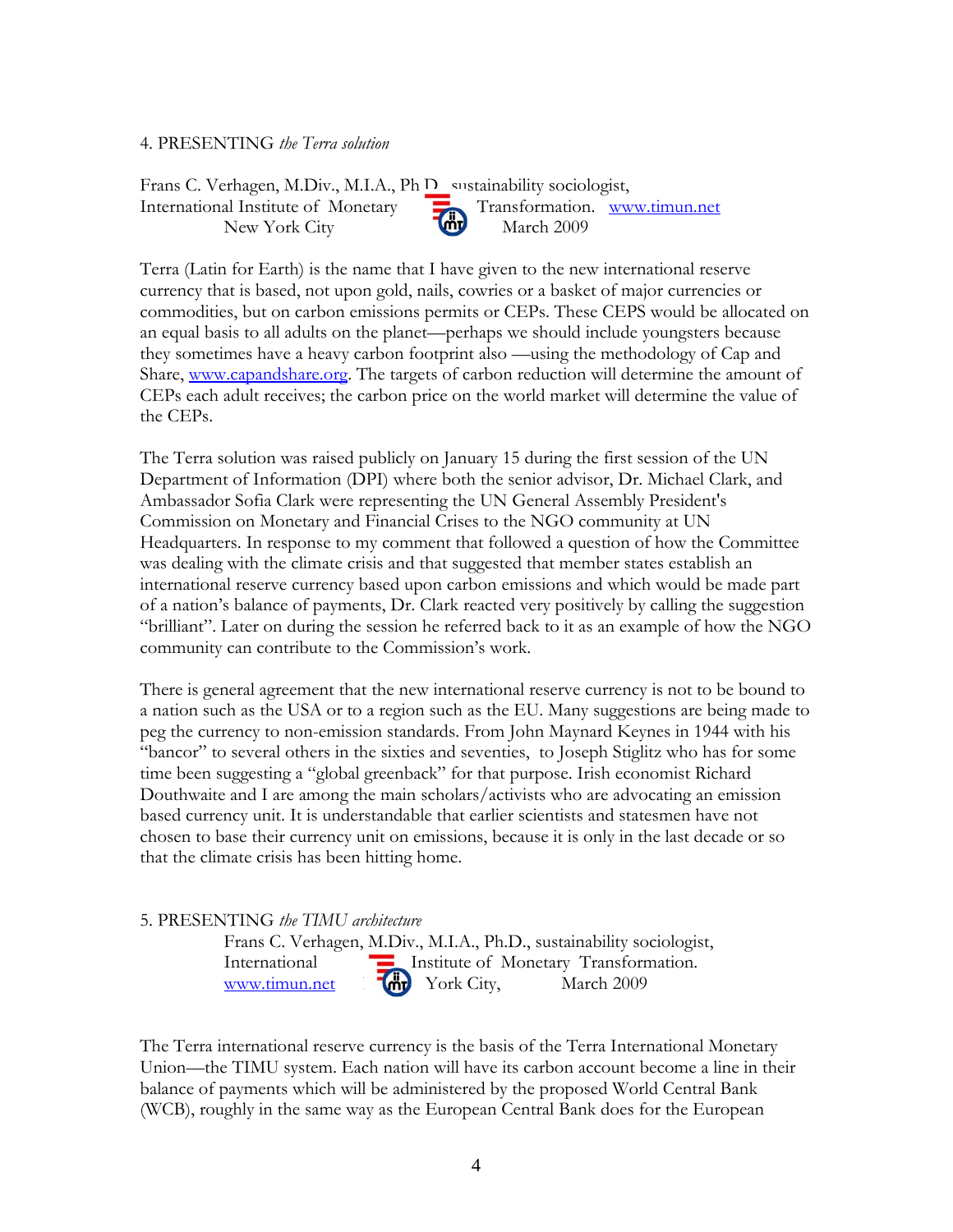## 4. PRESENTING *the Terra solution*

Frans C. Verhagen, M.Div., M.I.A., Ph.D., enstainability sociologist, International Institute of Monetary Transformation. www.timun.net New York City March 2009

Terra (Latin for Earth) is the name that I have given to the new international reserve currency that is based, not upon gold, nails, cowries or a basket of major currencies or commodities, but on carbon emissions permits or CEPs. These CEPS would be allocated on an equal basis to all adults on the planet—perhaps we should include youngsters because they sometimes have a heavy carbon footprint also —using the methodology of Cap and Share, www.capandshare.org. The targets of carbon reduction will determine the amount of CEPs each adult receives; the carbon price on the world market will determine the value of the CEPs.

The Terra solution was raised publicly on January 15 during the first session of the UN Department of Information (DPI) where both the senior advisor, Dr. Michael Clark, and Ambassador Sofia Clark were representing the UN General Assembly President's Commission on Monetary and Financial Crises to the NGO community at UN Headquarters. In response to my comment that followed a question of how the Committee was dealing with the climate crisis and that suggested that member states establish an international reserve currency based upon carbon emissions and which would be made part of a nation's balance of payments, Dr. Clark reacted very positively by calling the suggestion "brilliant". Later on during the session he referred back to it as an example of how the NGO community can contribute to the Commission's work.

There is general agreement that the new international reserve currency is not to be bound to a nation such as the USA or to a region such as the EU. Many suggestions are being made to peg the currency to non-emission standards. From John Maynard Keynes in 1944 with his "bancor" to several others in the sixties and seventies, to Joseph Stiglitz who has for some time been suggesting a "global greenback" for that purpose. Irish economist Richard Douthwaite and I are among the main scholars/activists who are advocating an emission based currency unit. It is understandable that earlier scientists and statesmen have not chosen to base their currency unit on emissions, because it is only in the last decade or so that the climate crisis has been hitting home.

5. PRESENTING *the TIMU architecture* 

Frans C. Verhagen, M.Div., M.I.A., Ph.D., sustainability sociologist, International **Institute of Monetary Transformation.** www.timun.net  $\text{Wv}$  York City, March 2009

The Terra international reserve currency is the basis of the Terra International Monetary Union––the TIMU system. Each nation will have its carbon account become a line in their balance of payments which will be administered by the proposed World Central Bank (WCB), roughly in the same way as the European Central Bank does for the European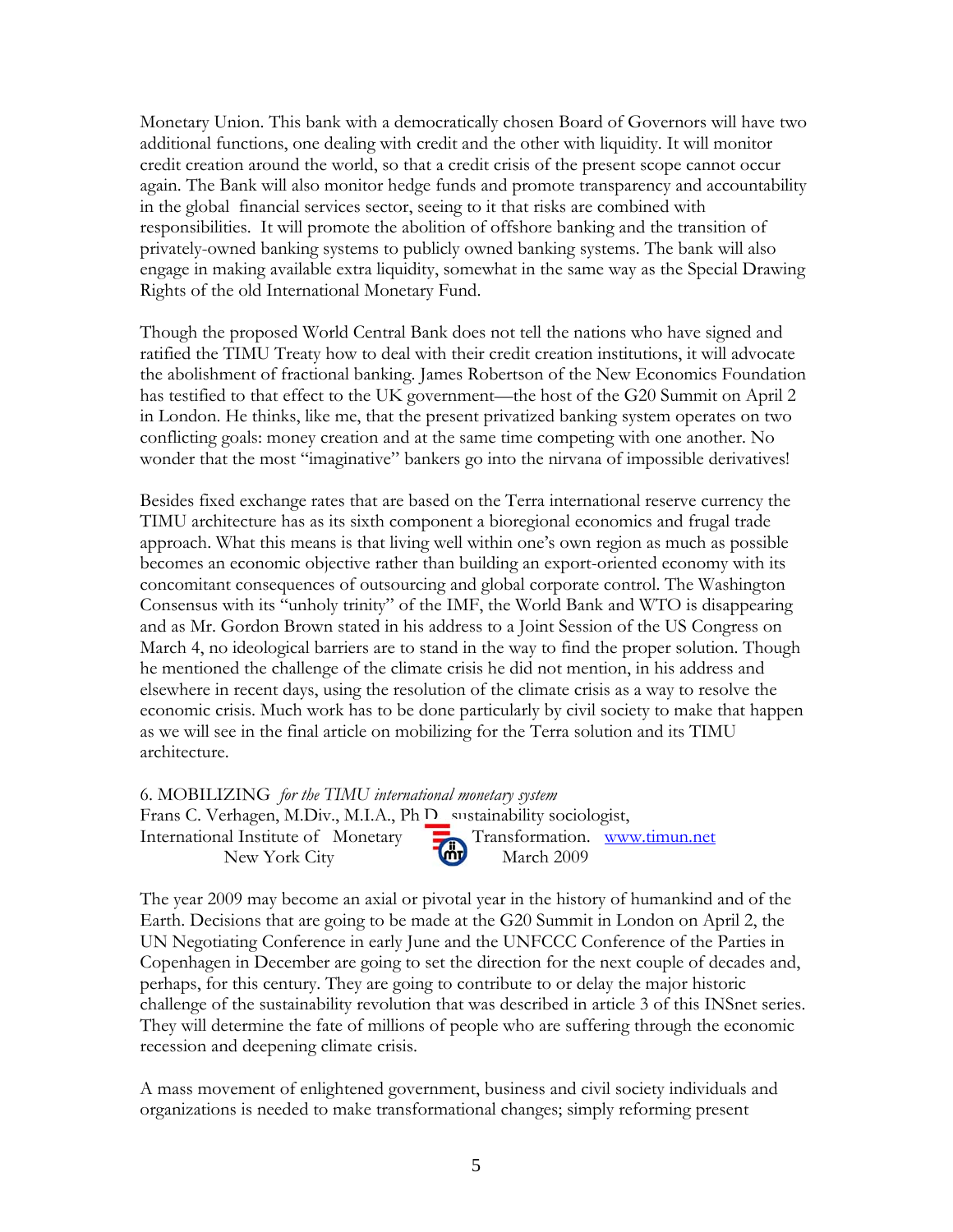Monetary Union. This bank with a democratically chosen Board of Governors will have two additional functions, one dealing with credit and the other with liquidity. It will monitor credit creation around the world, so that a credit crisis of the present scope cannot occur again. The Bank will also monitor hedge funds and promote transparency and accountability in the global financial services sector, seeing to it that risks are combined with responsibilities. It will promote the abolition of offshore banking and the transition of privately-owned banking systems to publicly owned banking systems. The bank will also engage in making available extra liquidity, somewhat in the same way as the Special Drawing Rights of the old International Monetary Fund.

Though the proposed World Central Bank does not tell the nations who have signed and ratified the TIMU Treaty how to deal with their credit creation institutions, it will advocate the abolishment of fractional banking. James Robertson of the New Economics Foundation has testified to that effect to the UK government—the host of the G20 Summit on April 2 in London. He thinks, like me, that the present privatized banking system operates on two conflicting goals: money creation and at the same time competing with one another. No wonder that the most "imaginative" bankers go into the nirvana of impossible derivatives!

Besides fixed exchange rates that are based on the Terra international reserve currency the TIMU architecture has as its sixth component a bioregional economics and frugal trade approach. What this means is that living well within one's own region as much as possible becomes an economic objective rather than building an export-oriented economy with its concomitant consequences of outsourcing and global corporate control. The Washington Consensus with its "unholy trinity" of the IMF, the World Bank and WTO is disappearing and as Mr. Gordon Brown stated in his address to a Joint Session of the US Congress on March 4, no ideological barriers are to stand in the way to find the proper solution. Though he mentioned the challenge of the climate crisis he did not mention, in his address and elsewhere in recent days, using the resolution of the climate crisis as a way to resolve the economic crisis. Much work has to be done particularly by civil society to make that happen as we will see in the final article on mobilizing for the Terra solution and its TIMU architecture.

6. MOBILIZING *for the TIMU international monetary system* 

Frans C. Verhagen, M.Div., M.I.A., Ph.D., sustainability sociologist, New York City March 2009

International Institute of Monetary Transformation. www.timun.net

The year 2009 may become an axial or pivotal year in the history of humankind and of the Earth. Decisions that are going to be made at the G20 Summit in London on April 2, the UN Negotiating Conference in early June and the UNFCCC Conference of the Parties in Copenhagen in December are going to set the direction for the next couple of decades and, perhaps, for this century. They are going to contribute to or delay the major historic challenge of the sustainability revolution that was described in article 3 of this INSnet series. They will determine the fate of millions of people who are suffering through the economic recession and deepening climate crisis.

A mass movement of enlightened government, business and civil society individuals and organizations is needed to make transformational changes; simply reforming present